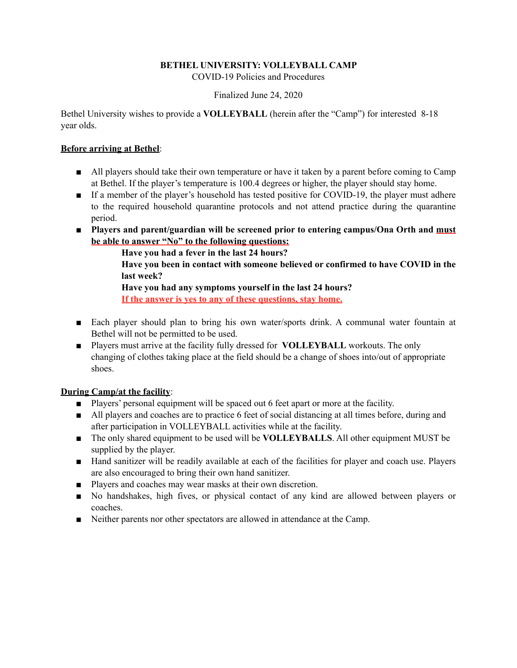# **BETHEL UNIVERSITY: VOLLEYBALL CAMP**

COVID-19 Policies and Procedures

### Finalized June 24, 2020

Bethel University wishes to provide a **VOLLEYBALL** (herein after the "Camp") for interested 8-18 year olds.

### **Before arriving at Bethel**:

- All players should take their own temperature or have it taken by a parent before coming to Camp at Bethel. If the player's temperature is 100.4 degrees or higher, the player should stay home.
- If a member of the player's household has tested positive for COVID-19, the player must adhere to the required household quarantine protocols and not attend practice during the quarantine period.
- **Players and parent/guardian will be screened prior to entering campus/Ona Orth and must be able to answer "No" to the following questions:**

 **Have you had a fever in the last 24 hours?** 

 **Have you been in contact with someone believed or confirmed to have COVID in the last week?** 

 **Have you had any symptoms yourself in the last 24 hours? If the answer is yes to any of these questions, stay home.** 

- Each player should plan to bring his own water/sports drink. A communal water fountain at Bethel will not be permitted to be used.
- Players must arrive at the facility fully dressed for **VOLLEYBALL** workouts. The only changing of clothes taking place at the field should be a change of shoes into/out of appropriate shoes.

# **During Camp/at the facility**:

- Players' personal equipment will be spaced out 6 feet apart or more at the facility.
- All players and coaches are to practice 6 feet of social distancing at all times before, during and after participation in VOLLEYBALL activities while at the facility.
- The only shared equipment to be used will be **VOLLEYBALLS**. All other equipment MUST be supplied by the player.
- Hand sanitizer will be readily available at each of the facilities for player and coach use. Players are also encouraged to bring their own hand sanitizer.
- Players and coaches may wear masks at their own discretion.
- No handshakes, high fives, or physical contact of any kind are allowed between players or coaches.
- Neither parents nor other spectators are allowed in attendance at the Camp.